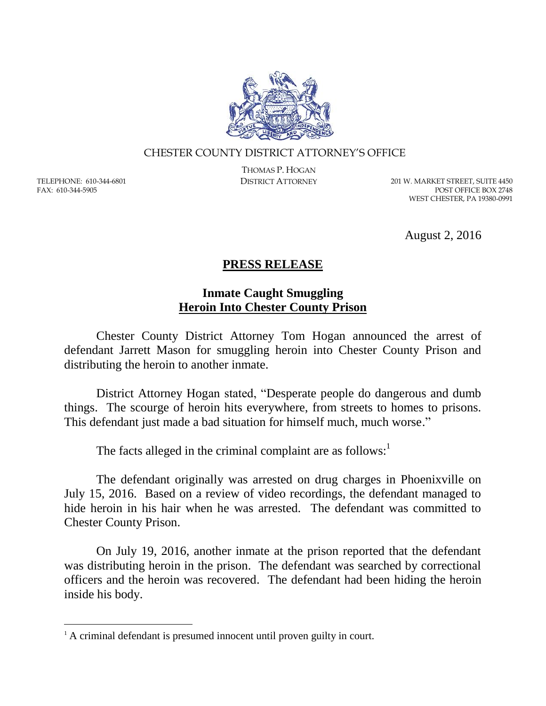

## CHESTER COUNTY DISTRICT ATTORNEY'S OFFICE

TELEPHONE: 610-344-6801 FAX: 610-344-5905

 $\overline{a}$ 

THOMAS P. HOGAN

DISTRICT ATTORNEY 201 W. MARKET STREET, SUITE 4450 POST OFFICE BOX 2748 WEST CHESTER, PA 19380-0991

August 2, 2016

## **PRESS RELEASE**

## **Inmate Caught Smuggling Heroin Into Chester County Prison**

Chester County District Attorney Tom Hogan announced the arrest of defendant Jarrett Mason for smuggling heroin into Chester County Prison and distributing the heroin to another inmate.

District Attorney Hogan stated, "Desperate people do dangerous and dumb things. The scourge of heroin hits everywhere, from streets to homes to prisons. This defendant just made a bad situation for himself much, much worse."

The facts alleged in the criminal complaint are as follows:

The defendant originally was arrested on drug charges in Phoenixville on July 15, 2016. Based on a review of video recordings, the defendant managed to hide heroin in his hair when he was arrested. The defendant was committed to Chester County Prison.

On July 19, 2016, another inmate at the prison reported that the defendant was distributing heroin in the prison. The defendant was searched by correctional officers and the heroin was recovered. The defendant had been hiding the heroin inside his body.

<sup>&</sup>lt;sup>1</sup> A criminal defendant is presumed innocent until proven guilty in court.